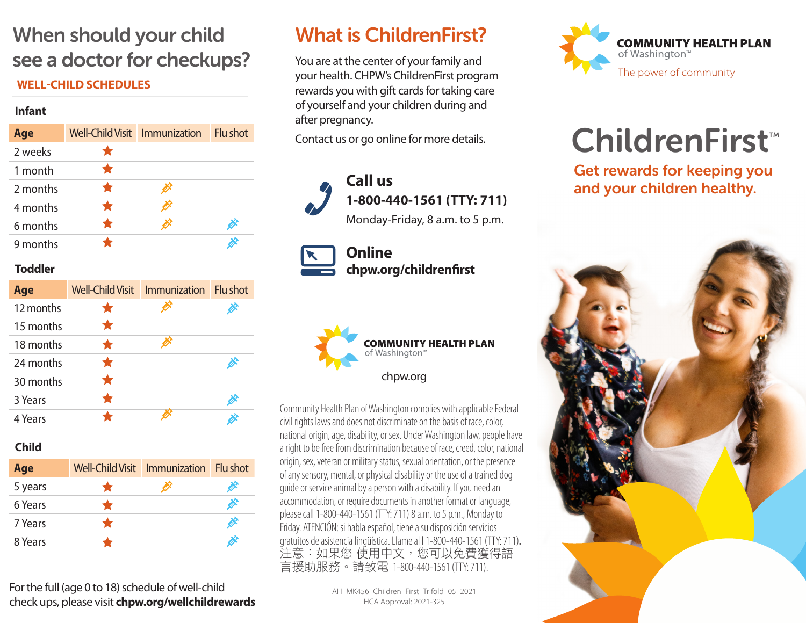## When should your child see a doctor for checkups?

#### **WELL-CHILD SCHEDULES**

#### **Infant**

| Age      | Well-Child Visit Immunization |   | Flu shot |
|----------|-------------------------------|---|----------|
| 2 weeks  |                               |   |          |
| 1 month  |                               |   |          |
| 2 months |                               | ∅ |          |
| 4 months |                               | Ò |          |
| 6 months |                               | ॐ | ⊘        |
| 9 months |                               |   | Ø        |

#### **Toddler**

| Age       | <b>Well-Child Visit</b> | Immunization Flu shot |   |
|-----------|-------------------------|-----------------------|---|
| 12 months |                         |                       | Ø |
| 15 months |                         |                       |   |
| 18 months |                         |                       |   |
| 24 months |                         |                       | Ø |
| 30 months |                         |                       |   |
| 3 Years   |                         |                       | Ø |
| 4 Years   |                         |                       |   |

### **Child**

| Age     |           | Well-Child Visit   Immunization   Flu shot |              |
|---------|-----------|--------------------------------------------|--------------|
| 5 years | $\bullet$ | B                                          | ⇙            |
| 6 Years | $\bullet$ |                                            | X            |
| 7 Years |           |                                            | <b>SEPTE</b> |
| 8 Years |           |                                            | È            |

For the full (age 0 to 18) schedule of well-child check ups, please visit **chpw.org/wellchildrewards**

## What is ChildrenFirst?

You are at the center of your family and your health. CHPW's ChildrenFirst program rewards you with gift cards for taking care of yourself and your children during and after pregnancy.

Contact us or go online for more details.





**Online chpw.org/childrenfirst**



Community Health Plan of Washington complies with applicable Federal civil rights laws and does not discriminate on the basis of race, color, national origin, age, disability, or sex. Under Washington law, people have a right to be free from discrimination because of race, creed, color, national origin, sex, veteran or military status, sexual orientation, or the presence of any sensory, mental, or physical disability or the use of a trained dog guide or service animal by a person with a disability. If you need an accommodation, or require documents in another format or language, please call 1-800-440-1561 (TTY: 711) 8 a.m. to 5 p.m., Monday to Friday. ATENCIÓN: si habla español, tiene a su disposición servicios gratuitos de asistencia lingüística. Llame al l 1-800-440-1561 (TTY: 711). 注意:如果您 使用中文, 您可以免費獲得語 言援助服務。請致電 1-800-440-1561 (TTY: 711).

> AH\_MK456\_Children\_First\_Trifold\_05\_2021 HCA Approval: 2021-325



# $ChildrenFirst$

Get rewards for keeping you and your children healthy.